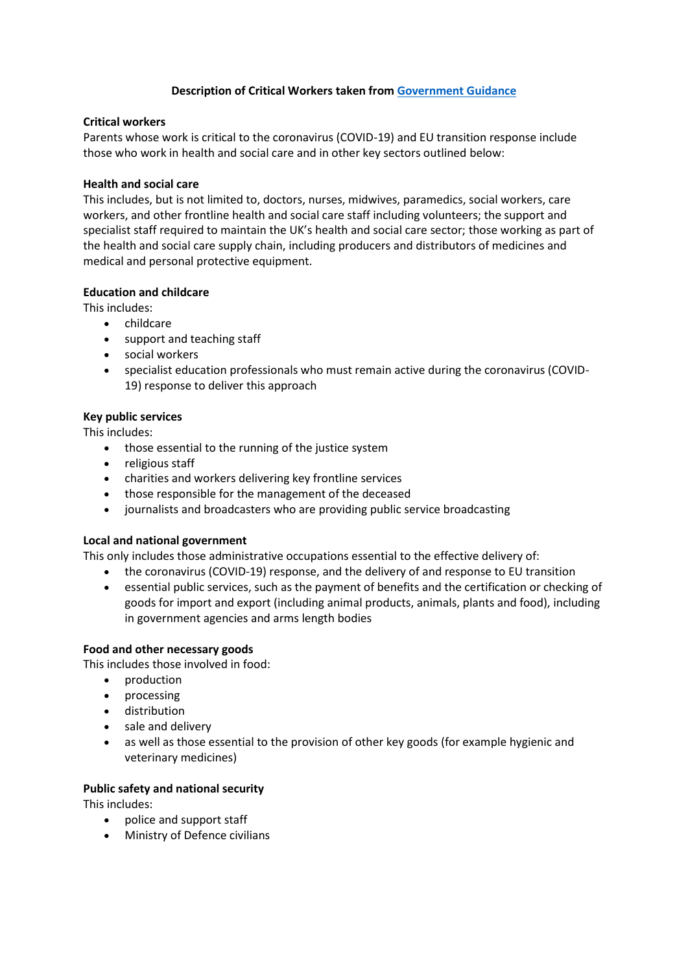## **Description of Critical Workers taken from [Government Guidance](https://www.gov.uk/government/publications/coronavirus-covid-19-maintaining-educational-provision/guidance-for-schools-colleges-and-local-authorities-on-maintaining-educational-provision)**

#### **Critical workers**

Parents whose work is critical to the coronavirus (COVID-19) and EU transition response include those who work in health and social care and in other key sectors outlined below:

#### **Health and social care**

This includes, but is not limited to, doctors, nurses, midwives, paramedics, social workers, care workers, and other frontline health and social care staff including volunteers; the support and specialist staff required to maintain the UK's health and social care sector; those working as part of the health and social care supply chain, including producers and distributors of medicines and medical and personal protective equipment.

### **Education and childcare**

This includes:

- childcare
- support and teaching staff
- social workers
- specialist education professionals who must remain active during the coronavirus (COVID-19) response to deliver this approach

### **Key public services**

This includes:

- those essential to the running of the justice system
- religious staff
- charities and workers delivering key frontline services
- those responsible for the management of the deceased
- journalists and broadcasters who are providing public service broadcasting

#### **Local and national government**

This only includes those administrative occupations essential to the effective delivery of:

- the coronavirus (COVID-19) response, and the delivery of and response to EU transition
- essential public services, such as the payment of benefits and the certification or checking of goods for import and export (including animal products, animals, plants and food), including in government agencies and arms length bodies

#### **Food and other necessary goods**

This includes those involved in food:

- production
- processing
- **•** distribution
- sale and delivery
- as well as those essential to the provision of other key goods (for example hygienic and veterinary medicines)

## **Public safety and national security**

This includes:

- police and support staff
- Ministry of Defence civilians